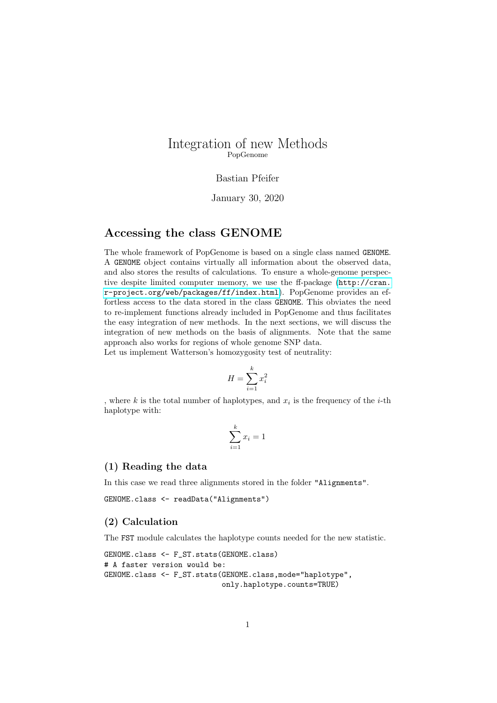## Integration of new Methods PopGenome

#### Bastian Pfeifer

#### January 30, 2020

# Accessing the class GENOME

The whole framework of PopGenome is based on a single class named GENOME. A GENOME object contains virtually all information about the observed data, and also stores the results of calculations. To ensure a whole-genome perspective despite limited computer memory, we use the ff-package ([http://cran.](http://cran.r-project.org/web/packages/ff/index.html) [r-project.org/web/packages/ff/index.html](http://cran.r-project.org/web/packages/ff/index.html)). PopGenome provides an effortless access to the data stored in the class GENOME. This obviates the need to re-implement functions already included in PopGenome and thus facilitates the easy integration of new methods. In the next sections, we will discuss the integration of new methods on the basis of alignments. Note that the same approach also works for regions of whole genome SNP data.

Let us implement Watterson's homozygosity test of neutrality:

$$
H = \sum_{i=1}^{k} x_i^2
$$

, where k is the total number of haplotypes, and  $x_i$  is the frequency of the *i*-th haplotype with:

$$
\sum_{i=1}^{k} x_i = 1
$$

#### (1) Reading the data

In this case we read three alignments stored in the folder "Alignments".

GENOME.class <- readData("Alignments")

## (2) Calculation

The FST module calculates the haplotype counts needed for the new statistic.

```
GENOME.class <- F_ST.stats(GENOME.class)
# A faster version would be:
GENOME.class <- F_ST.stats(GENOME.class,mode="haplotype",
                           only.haplotype.counts=TRUE)
```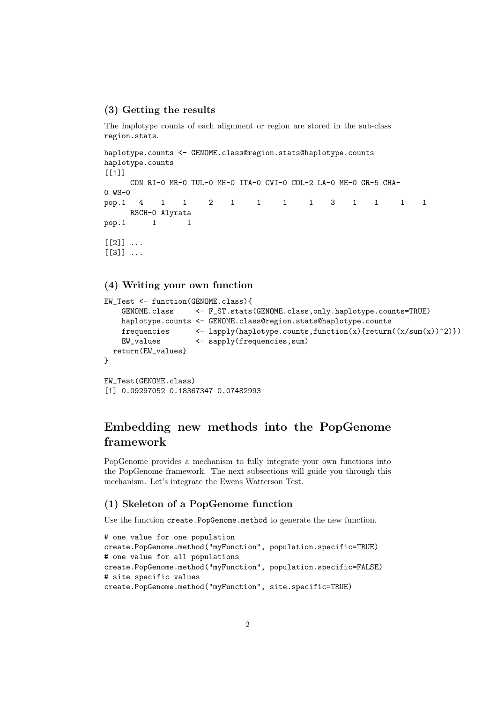#### (3) Getting the results

The haplotype counts of each alignment or region are stored in the sub-class region.stats.

```
haplotype.counts <- GENOME.class@region.stats@haplotype.counts
haplotype.counts
[1]]
     CON RI-0 MR-0 TUL-0 MH-0 ITA-0 CVI-0 COL-2 LA-0 ME-0 GR-5 CHA-
0 WS-0
pop.1 4 1 1 2 1 1 1 1 3 1 1 1 1
    RSCH-0 Alyrata
pop.1 1 1
[2]] \ldots[3]] \ldots
```
## (4) Writing your own function

```
EW_Test <- function(GENOME.class){
    GENOME.class <- F_ST.stats(GENOME.class,only.haplotype.counts=TRUE)
    haplotype.counts <- GENOME.class@region.stats@haplotype.counts
    frequencies \leftarrow \text{lapply(haplotype.counts, function(x)\text{return}((x/sum(x))^2))}\}EW_values <- sapply(frequencies,sum)
  return(EW_values}
}
EW_Test(GENOME.class)
```
[1] 0.09297052 0.18367347 0.07482993

# Embedding new methods into the PopGenome framework

PopGenome provides a mechanism to fully integrate your own functions into the PopGenome framework. The next subsections will guide you through this mechanism. Let's integrate the Ewens Watterson Test.

#### (1) Skeleton of a PopGenome function

Use the function create.PopGenome.method to generate the new function.

```
# one value for one population
create.PopGenome.method("myFunction", population.specific=TRUE)
# one value for all populations
create.PopGenome.method("myFunction", population.specific=FALSE)
# site specific values
create.PopGenome.method("myFunction", site.specific=TRUE)
```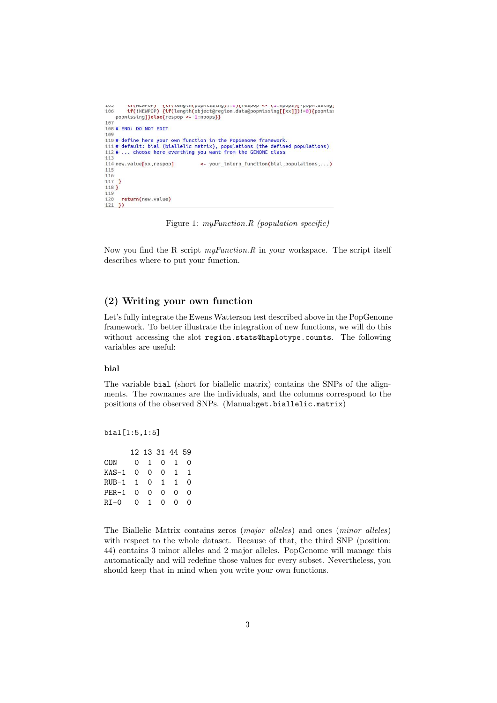```
tituments fortempontensing;=011cspop >= (1.inpups)[-popmissing]<br>if(!NEWPOP){if(length(object@region.data@popmissing[[xx]])!=0){popmiss
106
106 if(INEWPOP) if(length(object@req<br>popmissing]}else{respop <- 1:npops}}<br>107
108 # FND: DO NOT FDIT
109
110# define here your own function in the PopGenome framework.<br>111# default: bial (biallelic matrix), populations (the defined populations)<br>112# ... choose here everthing you want from the GENOME class
113
114 new.value[xx,respop]
                                                          <- your_intern_function(bial,populations,...)
115
\frac{116}{117}\overline{\mathbf{1}}118 }
119
120 return(new.value)
121 })
```
Figure 1: myFunction.R (population specific)

Now you find the R script  $myFunction.R$  in your workspace. The script itself describes where to put your function.

#### (2) Writing your own function

Let's fully integrate the Ewens Watterson test described above in the PopGenome framework. To better illustrate the integration of new functions, we will do this without accessing the slot region.stats@haplotype.counts. The following variables are useful:

#### bial

The variable bial (short for biallelic matrix) contains the SNPs of the alignments. The rownames are the individuals, and the columns correspond to the positions of the observed SNPs. (Manual:get.biallelic.matrix)

bial[1:5,1:5]

|        |                              | $\overline{1}$                       | Ω                                                                 |
|--------|------------------------------|--------------------------------------|-------------------------------------------------------------------|
|        |                              | $\overline{1}$                       | 1                                                                 |
| RUB-1  |                              | $\overline{1}$                       | ∩                                                                 |
|        |                              | 0                                    | 0                                                                 |
| $RI-0$ |                              | 0                                    | $\Omega$                                                          |
|        | 0.<br>$\mathbf{1}$<br>0<br>0 | 1<br>0 O<br>$\overline{0}$<br>0<br>1 | 12 13 31 44 59<br>0<br>$\Omega$<br>$\mathbf{1}$<br>$\Omega$<br>0. |

The Biallelic Matrix contains zeros (major alleles) and ones (minor alleles) with respect to the whole dataset. Because of that, the third SNP (position: 44) contains 3 minor alleles and 2 major alleles. PopGenome will manage this automatically and will redefine those values for every subset. Nevertheless, you should keep that in mind when you write your own functions.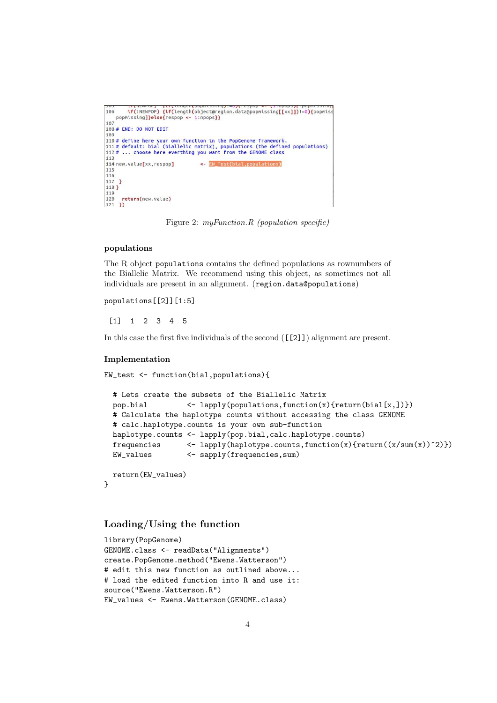```
108 # END: DO NOT EDIT
109
110# define here your own function in the PopGenome framework.<br>111# default: bial (biallelic matrix), populations (the defined populations)<br>112# ... choose here everthing you want from the GENOME class
113
114 new.value[xx,respop]
                                         <- EW_Test(bial, populations)
 115
\frac{116}{117}118 }
119
120 return(new.value)<br>121 })
```
Figure 2: myFunction.R (population specific)

#### populations

The R object populations contains the defined populations as rownumbers of the Biallelic Matrix. We recommend using this object, as sometimes not all individuals are present in an alignment. (region.data@populations)

populations[[2]][1:5]

[1] 1 2 3 4 5

In this case the first five individuals of the second ([[2]]) alignment are present.

#### Implementation

```
EW_test <- function(bial,populations){
```

```
# Lets create the subsets of the Biallelic Matrix
pop.bial <- lapply(populations,function(x){return(bial[x,])})
# Calculate the haplotype counts without accessing the class GENOME
# calc.haplotype.counts is your own sub-function
haplotype.counts <- lapply(pop.bial,calc.haplotype.counts)
frequencies \left\{ \text{Lapply(haplotype. counts, function}(x)\text{freturn}((x/\text{sum}(x))^2)\text{)}\right\}EW_values <- sapply(frequencies.sum)
return(EW_values)
```
#### }

### Loading/Using the function

```
library(PopGenome)
GENOME.class <- readData("Alignments")
create.PopGenome.method("Ewens.Watterson")
# edit this new function as outlined above...
# load the edited function into R and use it:
source("Ewens.Watterson.R")
EW_values <- Ewens.Watterson(GENOME.class)
```